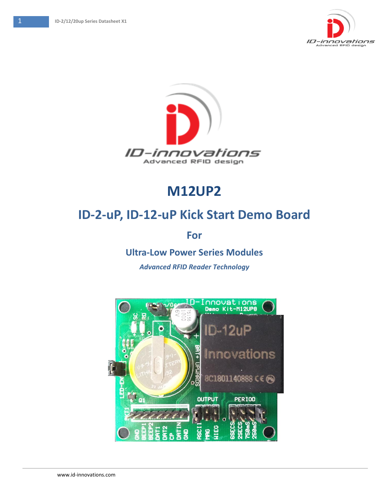



# **M12UP2**

# **ID-2-uP, ID-12-uP Kick Start Demo Board**

**For** 

**Ultra-Low Power Series Modules**

*Advanced RFID Reader Technology*

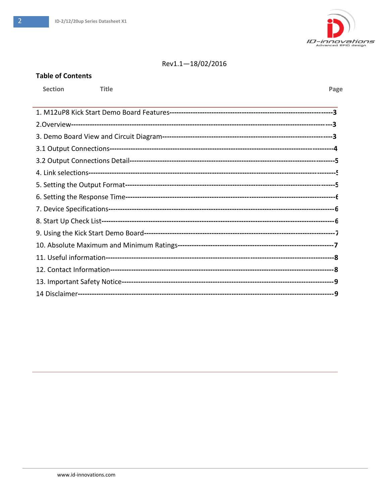**Table of Contents** 



#### Rev1.1-18/02/2016

# **Section Title** Page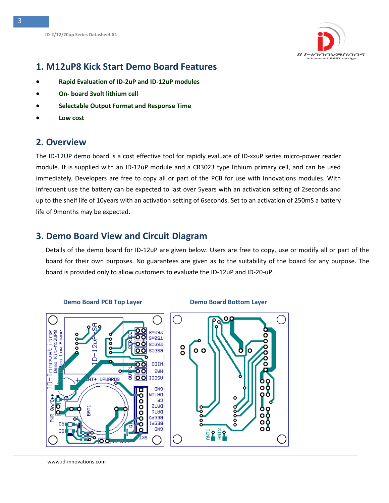

### <span id="page-2-0"></span>**1. M12uP8 Kick Start Demo Board Features**

- **Rapid Evaluation of ID-2uP and ID-12uP modules**
- **On- board 3volt lithium cell**
- **Selectable Output Format and Response Time**
- **Low cost**

### <span id="page-2-1"></span>**2. Overview**

The ID-12UP demo board is a cost effective tool for rapidly evaluate of ID-xxuP series micro-power reader module. It is supplied with an ID-12uP module and a CR3023 type lithium primary cell, and can be used immediately. Developers are free to copy all or part of the PCB for use with Innovations modules. With infrequent use the battery can be expected to last over 5years with an activation setting of 2seconds and up to the shelf life of 10years with an activation setting of 6seconds. Set to an activation of 250mS a battery life of 9months may be expected.

### <span id="page-2-2"></span>**3. Demo Board View and Circuit Diagram**

Details of the demo board for ID-12uP are given below. Users are free to copy, use or modify all or part of the board for their own purposes. No guarantees are given as to the suitability of the board for any purpose. The board is provided only to allow customers to evaluate the ID-12uP and ID-20-uP.



#### **Demo Board PCB Top Layer Compared Board Bottom Layer**

www.id-innovations.com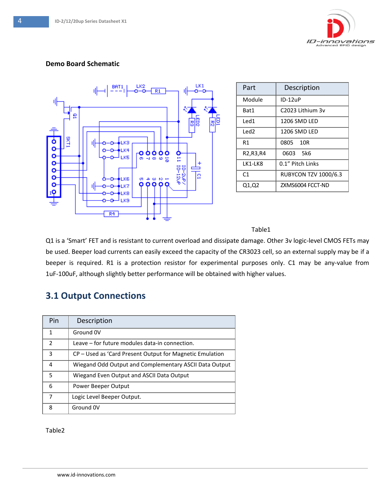

#### **Demo Board Schematic**



| Part                                             | Description                 |
|--------------------------------------------------|-----------------------------|
| Module                                           | ID-12uP                     |
| Bat1                                             | C2023 Lithium 3v            |
| Led1                                             | 1206 SMD LED                |
| Led <sub>2</sub>                                 | 1206 SMD LED                |
| R1                                               | 0805<br>10R                 |
| R <sub>2</sub> , R <sub>3</sub> , R <sub>4</sub> | <b>5k6</b><br>0603          |
| LK1-LK8                                          | 0.1" Pitch Links            |
| C <sub>1</sub>                                   | <b>RUBYCON TZV 1000/6.3</b> |
| Q1,Q2                                            | ZXMS6004 FCCT-ND            |

#### Table1

Q1 is a 'Smart' FET and is resistant to current overload and dissipate damage. Other 3v logic-level CMOS FETs may be used. Beeper load currents can easily exceed the capacity of the CR3023 cell, so an external supply may be if a beeper is required. R1 is a protection resistor for experimental purposes only. C1 may be any-value from 1uF-100uF, although slightly better performance will be obtained with higher values.

# <span id="page-3-0"></span>**3.1 Output Connections**

| Pin            | Description                                              |
|----------------|----------------------------------------------------------|
| $\mathbf{1}$   | Ground 0V                                                |
| $\overline{2}$ | Leave – for future modules data-in connection.           |
| 3              | CP – Used as 'Card Present Output for Magnetic Emulation |
| 4              | Wiegand Odd Output and Complementary ASCII Data Output   |
| 5              | Wiegand Even Output and ASCII Data Output                |
| 6              | Power Beeper Output                                      |
| 7              | Logic Level Beeper Output.                               |
| 8              | Ground 0V                                                |

Table2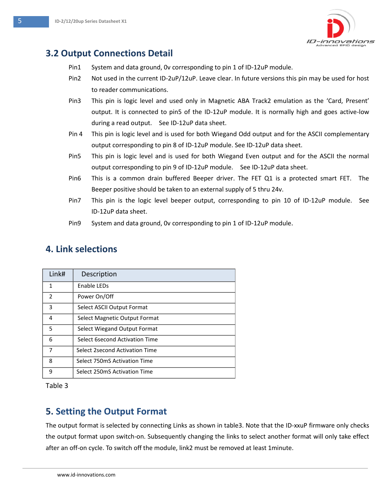

# <span id="page-4-0"></span>**3.2 Output Connections Detail**

- Pin1 System and data ground, 0v corresponding to pin 1 of ID-12uP module.
- Pin2 Not used in the current ID-2uP/12uP. Leave clear. In future versions this pin may be used for host to reader communications.
- Pin3 This pin is logic level and used only in Magnetic ABA Track2 emulation as the 'Card, Present' output. It is connected to pin5 of the ID-12uP module. It is normally high and goes active-low during a read output. See ID-12uP data sheet.
- Pin 4 This pin is logic level and is used for both Wiegand Odd output and for the ASCII complementary output corresponding to pin 8 of ID-12uP module. See ID-12uP data sheet.
- Pin5 This pin is logic level and is used for both Wiegand Even output and for the ASCII the normal output corresponding to pin 9 of ID-12uP module. See ID-12uP data sheet.
- Pin6 This is a common drain buffered Beeper driver. The FET Q1 is a protected smart FET. The Beeper positive should be taken to an external supply of 5 thru 24v.
- Pin7 This pin is the logic level beeper output, corresponding to pin 10 of ID-12uP module. See ID-12uP data sheet.
- Pin9 System and data ground, 0v corresponding to pin 1 of ID-12uP module.

# <span id="page-4-1"></span>**4. Link selections**

| Link#                    | Description                    |
|--------------------------|--------------------------------|
| 1                        | Enable LEDs                    |
| $\overline{\phantom{a}}$ | Power On/Off                   |
| 3                        | Select ASCII Output Format     |
| 4                        | Select Magnetic Output Format  |
| 5                        | Select Wiegand Output Format   |
| 6                        | Select 6second Activation Time |
| 7                        | Select 2second Activation Time |
| 8                        | Select 750mS Activation Time   |
| q                        | Select 250mS Activation Time   |

Table 3

# <span id="page-4-2"></span>**5. Setting the Output Format**

The output format is selected by connecting Links as shown in table3. Note that the ID-xxuP firmware only checks the output format upon switch-on. Subsequently changing the links to select another format will only take effect after an off-on cycle. To switch off the module, link2 must be removed at least 1minute.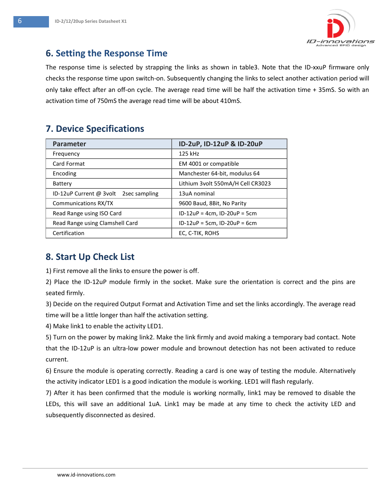

### <span id="page-5-0"></span>**6. Setting the Response Time**

The response time is selected by strapping the links as shown in table3. Note that the ID-xxuP firmware only checks the response time upon switch-on. Subsequently changing the links to select another activation period will only take effect after an off-on cycle. The average read time will be half the activation time + 35mS. So with an activation time of 750mS the average read time will be about 410mS.

# <span id="page-5-1"></span>**7. Device Specifications**

| <b>Parameter</b>                         | ID-2uP, ID-12uP & ID-20uP         |  |
|------------------------------------------|-----------------------------------|--|
| Frequency                                | 125 kHz                           |  |
| Card Format                              | EM 4001 or compatible             |  |
| Encoding                                 | Manchester 64-bit, modulus 64     |  |
| Battery                                  | Lithium 3volt 550mA/H Cell CR3023 |  |
| ID-12uP Current @ 3volt<br>2sec sampling | 13uA nominal                      |  |
| Communications RX/TX                     | 9600 Baud, 8Bit, No Parity        |  |
| Read Range using ISO Card                | $ID-12uP = 4cm$ , $ID-20uP = 5cm$ |  |
| Read Range using Clamshell Card          | $ID-12uP = 5cm$ , $ID-20uP = 6cm$ |  |
| Certification                            | EC, C-TIK, ROHS                   |  |

# <span id="page-5-2"></span>**8. Start Up Check List**

1) First remove all the links to ensure the power is off.

2) Place the ID-12uP module firmly in the socket. Make sure the orientation is correct and the pins are seated firmly.

3) Decide on the required Output Format and Activation Time and set the links accordingly. The average read time will be a little longer than half the activation setting.

4) Make link1 to enable the activity LED1.

5) Turn on the power by making link2. Make the link firmly and avoid making a temporary bad contact. Note that the ID-12uP is an ultra-low power module and brownout detection has not been activated to reduce current.

6) Ensure the module is operating correctly. Reading a card is one way of testing the module. Alternatively the activity indicator LED1 is a good indication the module is working. LED1 will flash regularly.

7) After it has been confirmed that the module is working normally, link1 may be removed to disable the LEDs, this will save an additional 1uA. Link1 may be made at any time to check the activity LED and subsequently disconnected as desired.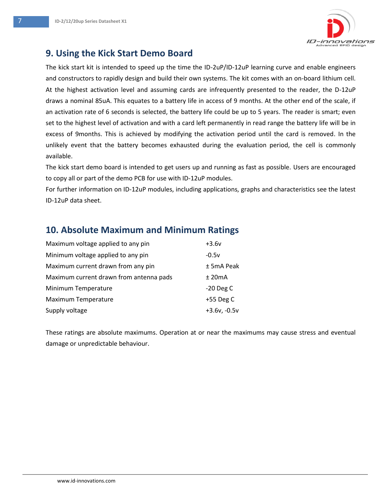

### <span id="page-6-0"></span>**9. Using the Kick Start Demo Board**

The kick start kit is intended to speed up the time the ID-2uP/ID-12uP learning curve and enable engineers and constructors to rapidly design and build their own systems. The kit comes with an on-board lithium cell. At the highest activation level and assuming cards are infrequently presented to the reader, the D-12uP draws a nominal 85uA. This equates to a battery life in access of 9 months. At the other end of the scale, if an activation rate of 6 seconds is selected, the battery life could be up to 5 years. The reader is smart; even set to the highest level of activation and with a card left permanently in read range the battery life will be in excess of 9months. This is achieved by modifying the activation period until the card is removed. In the unlikely event that the battery becomes exhausted during the evaluation period, the cell is commonly available.

The kick start demo board is intended to get users up and running as fast as possible. Users are encouraged to copy all or part of the demo PCB for use with ID-12uP modules.

For further information on ID-12uP modules, including applications, graphs and characteristics see the latest ID-12uP data sheet.

### <span id="page-6-1"></span>**10. Absolute Maximum and Minimum Ratings**

| Maximum voltage applied to any pin      | $+3.6v$        |
|-----------------------------------------|----------------|
| Minimum voltage applied to any pin      | $-0.5v$        |
| Maximum current drawn from any pin      | ± 5mA Peak     |
| Maximum current drawn from antenna pads | $±$ 20 $mA$    |
| Minimum Temperature                     | $-20$ Deg C    |
| Maximum Temperature                     | $+55$ Deg C    |
| Supply voltage                          | $+3.6v, -0.5v$ |

These ratings are absolute maximums. Operation at or near the maximums may cause stress and eventual damage or unpredictable behaviour.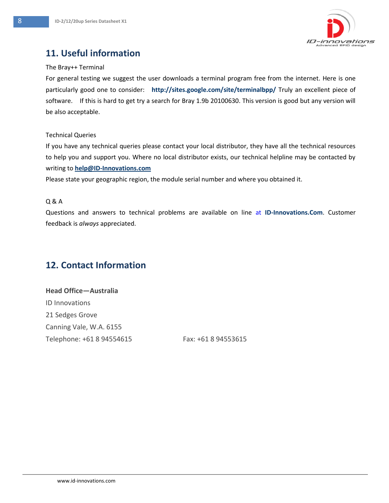

# <span id="page-7-0"></span>**11. Useful information**

#### The Bray++ Terminal

For general testing we suggest the user downloads a terminal program free from the internet. Here is one particularly good one to consider: **http://sites.google.com/site/terminalbpp/** Truly an excellent piece of software. If this is hard to get try a search for Bray 1.9b 20100630. This version is good but any version will be also acceptable.

#### Technical Queries

If you have any technical queries please contact your local distributor, they have all the technical resources to help you and support you. Where no local distributor exists, our technical helpline may be contacted by writing to **[help@ID-Innovations.com](mailto:help@ID-Innovations.com)** 

Please state your geographic region, the module serial number and where you obtained it.

#### Q & A

Questions and answers to technical problems are available on line at **ID-Innovations.Com**. Customer feedback is *always* appreciated.

# <span id="page-7-1"></span>**12. Contact Information**

**Head Office—Australia** ID Innovations 21 Sedges Grove Canning Vale, W.A. 6155 Telephone: +61 8 94554615 Fax: +61 8 94553615